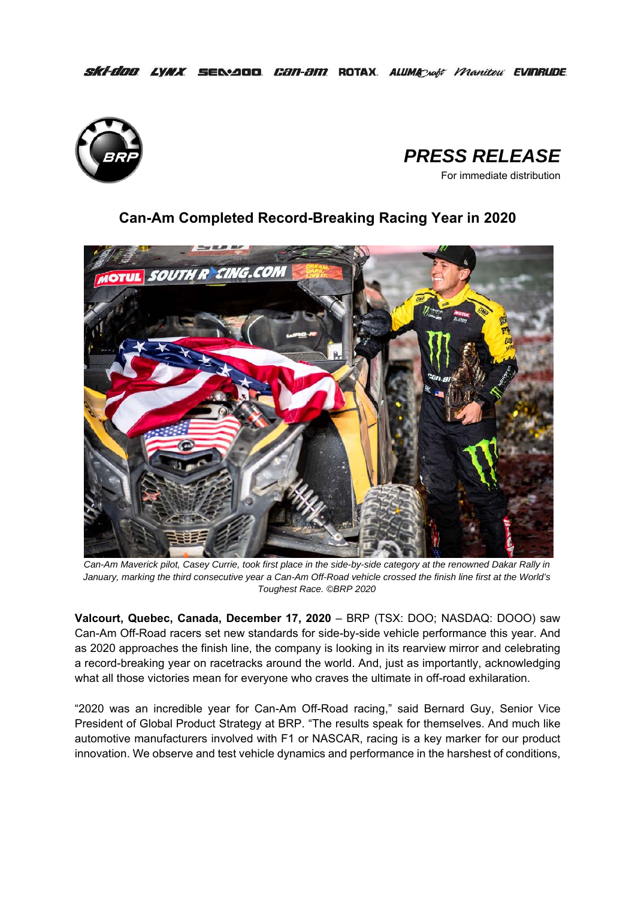SKİ-doo LYNX SEN-ADD. CƏN-ƏM ROTAX. ALUMACAdit Manitou EVINRUDE.





# **Can-Am Completed Record-Breaking Racing Year in 2020**



*Can-Am Maverick pilot, Casey Currie, took first place in the side-by-side category at the renowned Dakar Rally in January, marking the third consecutive year a Can-Am Off-Road vehicle crossed the finish line first at the World's Toughest Race. ©BRP 2020* 

**Valcourt, Quebec, Canada, December 17, 2020** – BRP (TSX: DOO; NASDAQ: DOOO) saw Can-Am Off-Road racers set new standards for side-by-side vehicle performance this year. And as 2020 approaches the finish line, the company is looking in its rearview mirror and celebrating a record-breaking year on racetracks around the world. And, just as importantly, acknowledging what all those victories mean for everyone who craves the ultimate in off-road exhilaration.

"2020 was an incredible year for Can-Am Off-Road racing," said Bernard Guy, Senior Vice President of Global Product Strategy at BRP. "The results speak for themselves. And much like automotive manufacturers involved with F1 or NASCAR, racing is a key marker for our product innovation. We observe and test vehicle dynamics and performance in the harshest of conditions,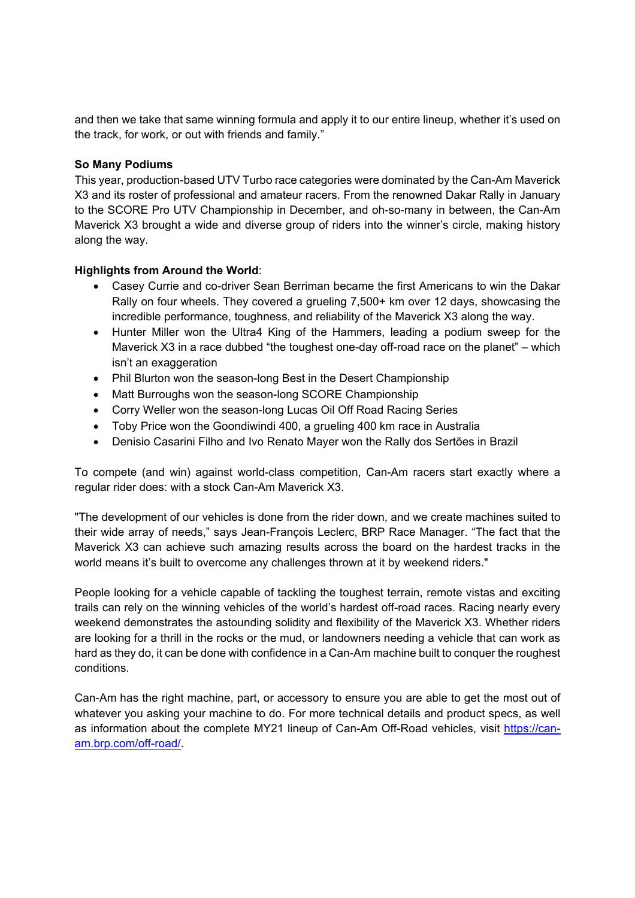and then we take that same winning formula and apply it to our entire lineup, whether it's used on the track, for work, or out with friends and family."

### **So Many Podiums**

This year, production-based UTV Turbo race categories were dominated by the Can-Am Maverick X3 and its roster of professional and amateur racers. From the renowned Dakar Rally in January to the SCORE Pro UTV Championship in December, and oh-so-many in between, the Can-Am Maverick X3 brought a wide and diverse group of riders into the winner's circle, making history along the way.

## **Highlights from Around the World**:

- Casey Currie and co-driver Sean Berriman became the first Americans to win the Dakar Rally on four wheels. They covered a grueling 7,500+ km over 12 days, showcasing the incredible performance, toughness, and reliability of the Maverick X3 along the way.
- Hunter Miller won the Ultra4 King of the Hammers, leading a podium sweep for the Maverick X3 in a race dubbed "the toughest one-day off-road race on the planet" – which isn't an exaggeration
- Phil Blurton won the season-long Best in the Desert Championship
- Matt Burroughs won the season-long SCORE Championship
- Corry Weller won the season-long Lucas Oil Off Road Racing Series
- Toby Price won the Goondiwindi 400, a grueling 400 km race in Australia
- Denisio Casarini Filho and Ivo Renato Mayer won the Rally dos Sertões in Brazil

To compete (and win) against world-class competition, Can-Am racers start exactly where a regular rider does: with a stock Can-Am Maverick X3.

"The development of our vehicles is done from the rider down, and we create machines suited to their wide array of needs," says Jean-François Leclerc, BRP Race Manager. "The fact that the Maverick X3 can achieve such amazing results across the board on the hardest tracks in the world means it's built to overcome any challenges thrown at it by weekend riders."

People looking for a vehicle capable of tackling the toughest terrain, remote vistas and exciting trails can rely on the winning vehicles of the world's hardest off-road races. Racing nearly every weekend demonstrates the astounding solidity and flexibility of the Maverick X3. Whether riders are looking for a thrill in the rocks or the mud, or landowners needing a vehicle that can work as hard as they do, it can be done with confidence in a Can-Am machine built to conquer the roughest conditions.

Can-Am has the right machine, part, or accessory to ensure you are able to get the most out of whatever you asking your machine to do. For more technical details and product specs, as well as information about the complete MY21 lineup of Can-Am Off-Road vehicles, visit https://canam.brp.com/off-road/.